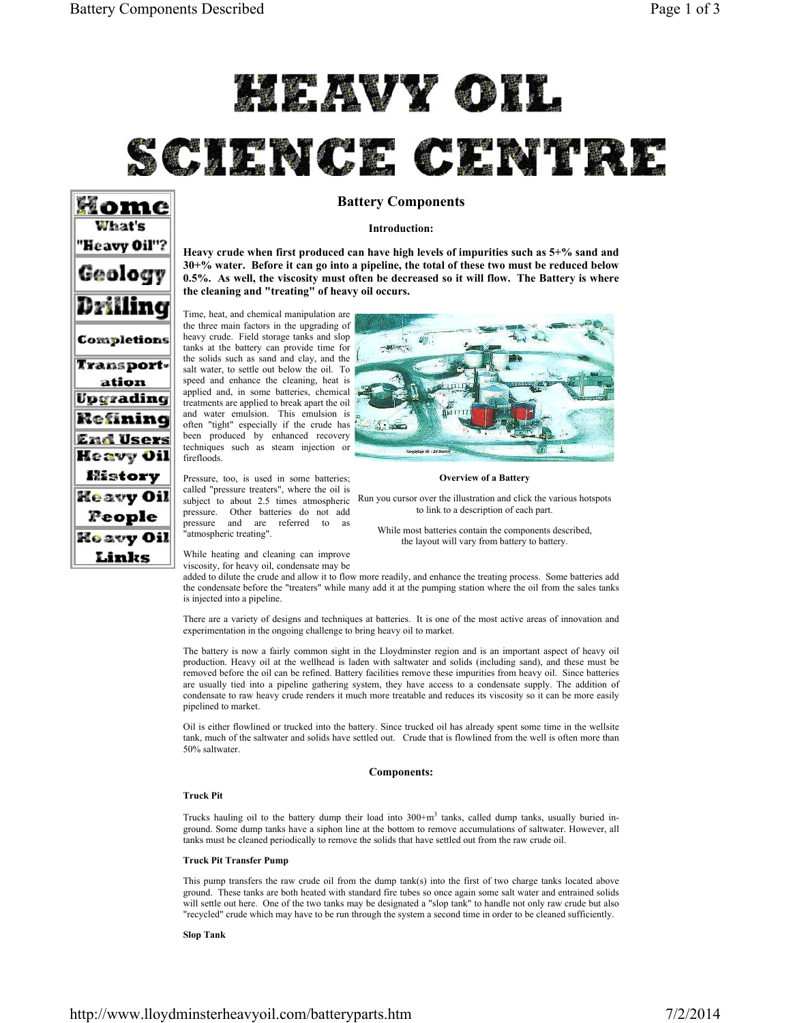# HEAVY OIL

# SCIENCE CENTRE

# Home What's "Heavy Oil"? Geology Drillina Completions Transportation Upgrading Refining End Users Heavy Oil History Heavy Oil People **Heavy Oil** Links

# **Battery Components**

# **Introduction:**

**Heavy crude when first produced can have high levels of impurities such as 5+% sand and 30+% water. Before it can go into a pipeline, the total of these two must be reduced below 0.5%. As well, the viscosity must often be decreased so it will flow. The Battery is where the cleaning and "treating" of heavy oil occurs.**

Time, heat, and chemical manipulation are the three main factors in the upgrading of heavy crude. Field storage tanks and slop tanks at the battery can provide time for the solids such as sand and clay, and the salt water, to settle out below the oil. To speed and enhance the cleaning, heat is applied and, in some batteries, chemical treatments are applied to break apart the oil and water emulsion. This emulsion is often "tight" especially if the crude has been produced by enhanced recovery techniques such as steam injection or firefloods.

Pressure, too, is used in some batteries; called "pressure treaters", where the oil is pressure. Other batteries do not add pressure and are referred to as "atmospheric treating".



#### **Overview of a Battery**

subject to about 2.5 times atmospheric Run you cursor over the illustration and click the various hotspots to link to a description of each part.

> While most batteries contain the components described, the layout will vary from battery to battery.

While heating and cleaning can improve viscosity, for heavy oil, condensate may be

added to dilute the crude and allow it to flow more readily, and enhance the treating process. Some batteries add the condensate before the "treaters" while many add it at the pumping station where the oil from the sales tanks is injected into a pipeline.

There are a variety of designs and techniques at batteries. It is one of the most active areas of innovation and experimentation in the ongoing challenge to bring heavy oil to market.

The battery is now a fairly common sight in the Lloydminster region and is an important aspect of heavy oil production. Heavy oil at the wellhead is laden with saltwater and solids (including sand), and these must be removed before the oil can be refined. Battery facilities remove these impurities from heavy oil. Since batteries are usually tied into a pipeline gathering system, they have access to a condensate supply. The addition of condensate to raw heavy crude renders it much more treatable and reduces its viscosity so it can be more easily pipelined to market.

Oil is either flowlined or trucked into the battery. Since trucked oil has already spent some time in the wellsite tank, much of the saltwater and solids have settled out. Crude that is flowlined from the well is often more than 50% saltwater.

# **Components:**

# **Truck Pit**

Trucks hauling oil to the battery dump their load into  $300+m<sup>3</sup>$  tanks, called dump tanks, usually buried inground. Some dump tanks have a siphon line at the bottom to remove accumulations of saltwater. However, all tanks must be cleaned periodically to remove the solids that have settled out from the raw crude oil.

### **Truck Pit Transfer Pump**

This pump transfers the raw crude oil from the dump tank(s) into the first of two charge tanks located above ground. These tanks are both heated with standard fire tubes so once again some salt water and entrained solids will settle out here. One of the two tanks may be designated a "slop tank" to handle not only raw crude but also "recycled" crude which may have to be run through the system a second time in order to be cleaned sufficiently.

**Slop Tank**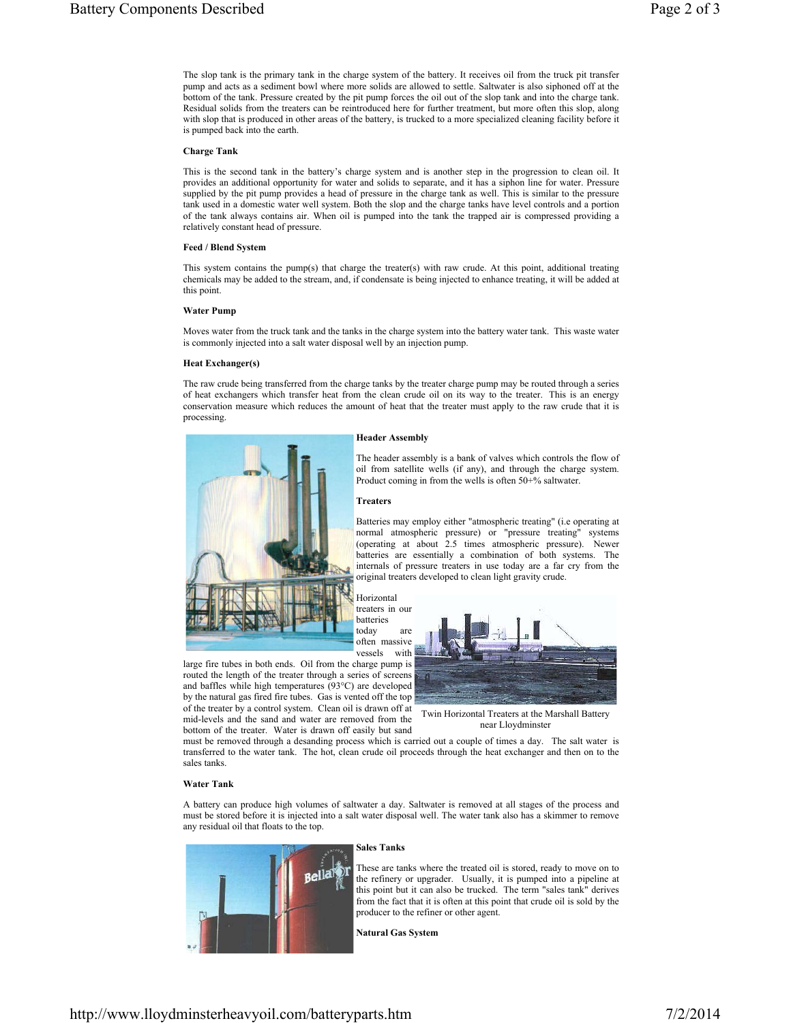The slop tank is the primary tank in the charge system of the battery. It receives oil from the truck pit transfer pump and acts as a sediment bowl where more solids are allowed to settle. Saltwater is also siphoned off at the bottom of the tank. Pressure created by the pit pump forces the oil out of the slop tank and into the charge tank. Residual solids from the treaters can be reintroduced here for further treatment, but more often this slop, along with slop that is produced in other areas of the battery, is trucked to a more specialized cleaning facility before it is pumped back into the earth.

# **Charge Tank**

This is the second tank in the battery's charge system and is another step in the progression to clean oil. It provides an additional opportunity for water and solids to separate, and it has a siphon line for water. Pressure supplied by the pit pump provides a head of pressure in the charge tank as well. This is similar to the pressure tank used in a domestic water well system. Both the slop and the charge tanks have level controls and a portion of the tank always contains air. When oil is pumped into the tank the trapped air is compressed providing a relatively constant head of pressure.

#### **Feed / Blend System**

This system contains the pump(s) that charge the treater(s) with raw crude. At this point, additional treating chemicals may be added to the stream, and, if condensate is being injected to enhance treating, it will be added at this point.

# **Water Pump**

Moves water from the truck tank and the tanks in the charge system into the battery water tank. This waste water is commonly injected into a salt water disposal well by an injection pump.

#### **Heat Exchanger(s)**

The raw crude being transferred from the charge tanks by the treater charge pump may be routed through a series of heat exchangers which transfer heat from the clean crude oil on its way to the treater. This is an energy conservation measure which reduces the amount of heat that the treater must apply to the raw crude that it is processing.

#### **Header Assembly**



The header assembly is a bank of valves which controls the flow of oil from satellite wells (if any), and through the charge system. Product coming in from the wells is often 50+% saltwater.

#### **Treaters**

Batteries may employ either "atmospheric treating" (i.e operating at normal atmospheric pressure) or "pressure treating" systems (operating at about 2.5 times atmospheric pressure). Newer batteries are essentially a combination of both systems. The internals of pressure treaters in use today are a far cry from the original treaters developed to clean light gravity crude.

Horizontal treaters in our batteries today are often massive vessels with

large fire tubes in both ends. Oil from the charge pump is routed the length of the treater through a series of screens and baffles while high temperatures (93°C) are developed by the natural gas fired fire tubes. Gas is vented off the top of the treater by a control system. Clean oil is drawn off at mid-levels and the sand and water are removed from the

bottom of the treater. Water is drawn off easily but sand



Twin Horizontal Treaters at the Marshall Battery near Lloydminster

must be removed through a desanding process which is carried out a couple of times a day. The salt water is transferred to the water tank. The hot, clean crude oil proceeds through the heat exchanger and then on to the sales tanks.

### **Water Tank**

A battery can produce high volumes of saltwater a day. Saltwater is removed at all stages of the process and must be stored before it is injected into a salt water disposal well. The water tank also has a skimmer to remove any residual oil that floats to the top.



#### **Sales Tanks**

These are tanks where the treated oil is stored, ready to move on to the refinery or upgrader. Usually, it is pumped into a pipeline at this point but it can also be trucked. The term "sales tank" derives from the fact that it is often at this point that crude oil is sold by the producer to the refiner or other agent.

**Natural Gas System**